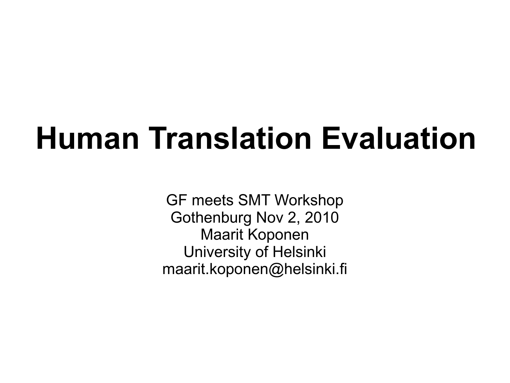# **Human Translation Evaluation**

GF meets SMT Workshop Gothenburg Nov 2, 2010 Maarit Koponen University of Helsinki maarit.koponen@helsinki.fi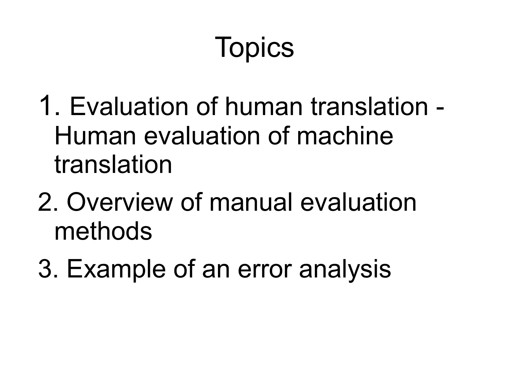# **Topics**

- 1. Evaluation of human translation Human evaluation of machine translation
- 2. Overview of manual evaluation methods
- 3. Example of an error analysis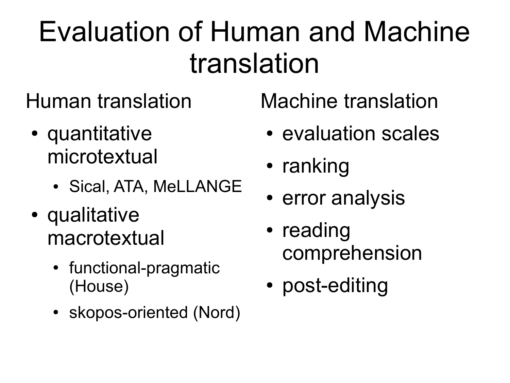## Evaluation of Human and Machine translation

Human translation

- quantitative microtextual
	- Sical, ATA, MeLLANGE
- qualitative macrotextual
	- functional-pragmatic (House)
	- skopos-oriented (Nord)

Machine translation

- evaluation scales
- ranking
- error analysis
- reading comprehension
- post-editing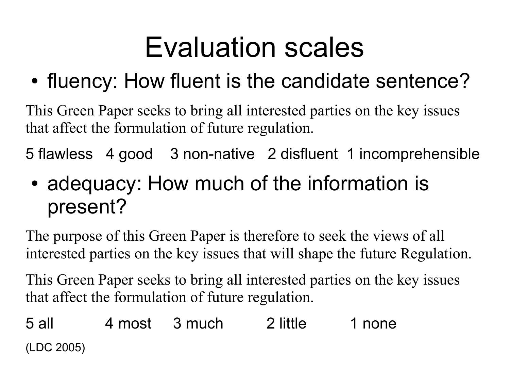## Evaluation scales

### • fluency: How fluent is the candidate sentence?

This Green Paper seeks to bring all interested parties on the key issues that affect the formulation of future regulation.

5 flawless 4 good 3 non-native 2 disfluent 1 incomprehensible

#### • adequacy: How much of the information is present?

The purpose of this Green Paper is therefore to seek the views of all interested parties on the key issues that will shape the future Regulation.

This Green Paper seeks to bring all interested parties on the key issues that affect the formulation of future regulation.

5 all 4 most 3 much 2 little 1 none (LDC 2005)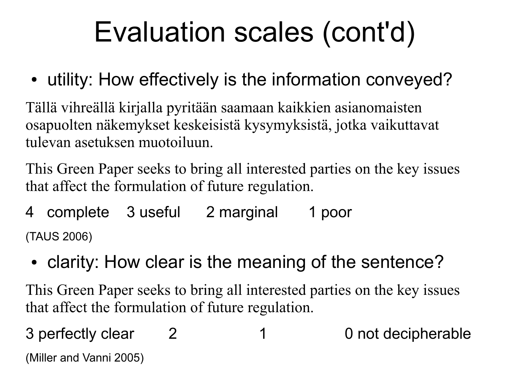# Evaluation scales (cont'd)

• utility: How effectively is the information conveyed?

Tällä vihreällä kirjalla pyritään saamaan kaikkien asianomaisten osapuolten näkemykset keskeisistä kysymyksistä, jotka vaikuttavat tulevan asetuksen muotoiluun.

This Green Paper seeks to bring all interested parties on the key issues that affect the formulation of future regulation.

- 4 complete 3 useful 2 marginal 1 poor (TAUS 2006)
- clarity: How clear is the meaning of the sentence?

This Green Paper seeks to bring all interested parties on the key issues that affect the formulation of future regulation.

3 perfectly clear 2 1 0 not decipherable (Miller and Vanni 2005)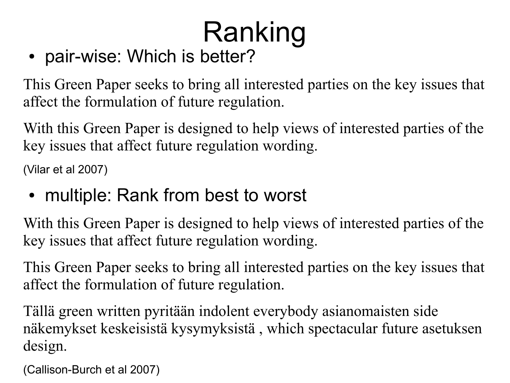# Ranking

• pair-wise: Which is better?

This Green Paper seeks to bring all interested parties on the key issues that affect the formulation of future regulation.

With this Green Paper is designed to help views of interested parties of the key issues that affect future regulation wording.

(Vilar et al 2007)

• multiple: Rank from best to worst

With this Green Paper is designed to help views of interested parties of the key issues that affect future regulation wording.

This Green Paper seeks to bring all interested parties on the key issues that affect the formulation of future regulation.

Tällä green written pyritään indolent everybody asianomaisten side näkemykset keskeisistä kysymyksistä , which spectacular future asetuksen design.

(Callison-Burch et al 2007)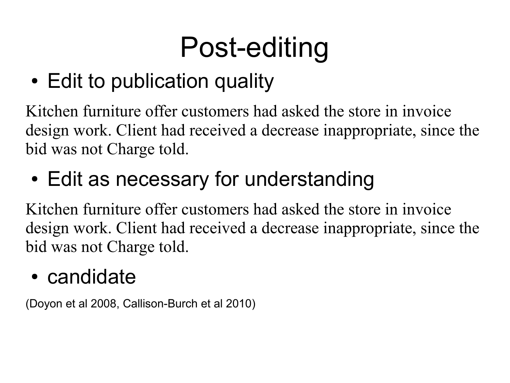# Post-editing

• Edit to publication quality

Kitchen furniture offer customers had asked the store in invoice design work. Client had received a decrease inappropriate, since the bid was not Charge told.

### • Edit as necessary for understanding

Kitchen furniture offer customers had asked the store in invoice design work. Client had received a decrease inappropriate, since the bid was not Charge told.

#### • candidate

(Doyon et al 2008, Callison-Burch et al 2010)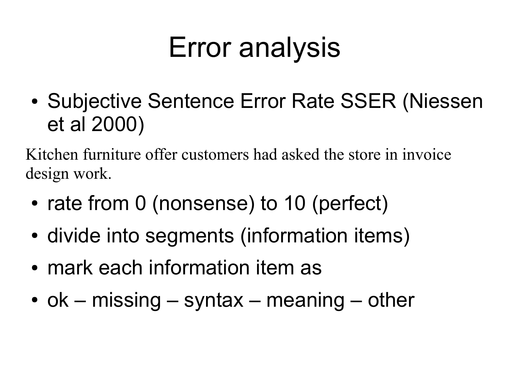## Error analysis

• Subjective Sentence Error Rate SSER (Niessen et al 2000)

Kitchen furniture offer customers had asked the store in invoice design work.

- rate from 0 (nonsense) to 10 (perfect)
- divide into segments (information items)
- mark each information item as
- ok missing syntax meaning other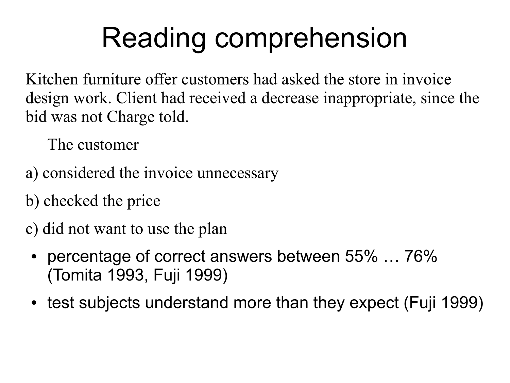# Reading comprehension

Kitchen furniture offer customers had asked the store in invoice design work. Client had received a decrease inappropriate, since the bid was not Charge told.

The customer

- a) considered the invoice unnecessary
- b) checked the price
- c) did not want to use the plan
- percentage of correct answers between  $55\%$  ...  $76\%$ (Tomita 1993, Fuji 1999)
- test subjects understand more than they expect (Fuji 1999)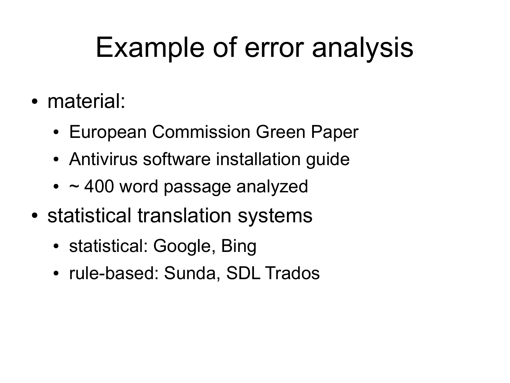## Example of error analysis

- material:
	- European Commission Green Paper
	- Antivirus software installation guide
	- $\cdot$  ~ 400 word passage analyzed
- statistical translation systems
	- statistical: Google, Bing
	- rule-based: Sunda, SDL Trados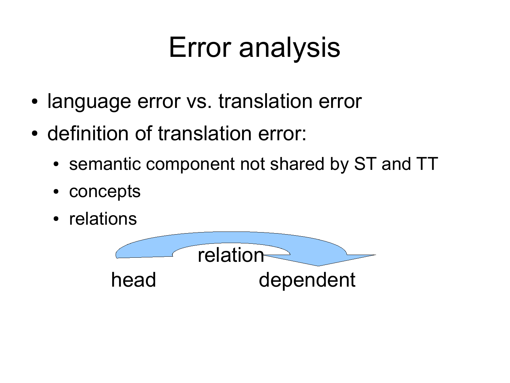## Error analysis

- language error vs. translation error
- definition of translation error:
	- semantic component not shared by ST and TT
	- concepts
	- relations

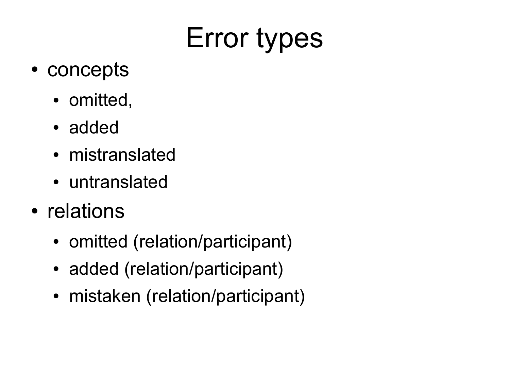# Error types

- concepts
	- omitted,
	- added
	- mistranslated
	- untranslated
- relations
	- omitted (relation/participant)
	- added (relation/participant)
	- mistaken (relation/participant)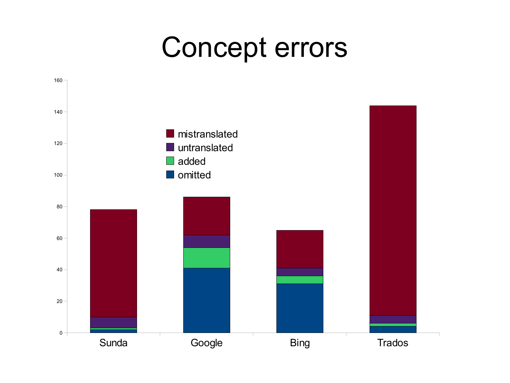## Concept errors

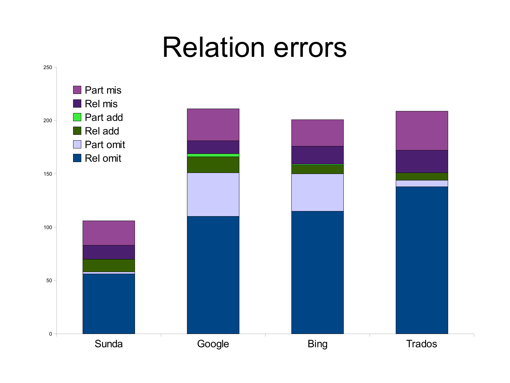## Relation errors

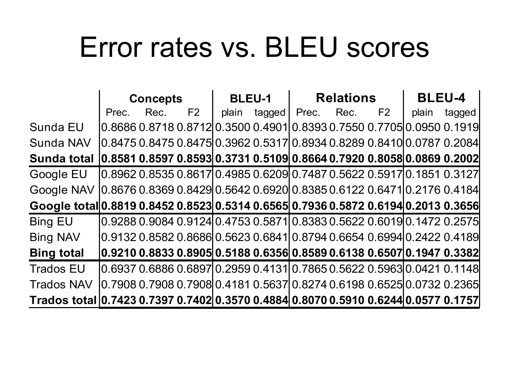## Error rates vs. BLEU scores

|                                                                                    | <b>Concepts</b> |                                                                                    |    | <b>BLEU-1</b> |        | <b>Relations</b> |      |                | <b>BLEU-4</b> |        |
|------------------------------------------------------------------------------------|-----------------|------------------------------------------------------------------------------------|----|---------------|--------|------------------|------|----------------|---------------|--------|
|                                                                                    | Prec.           | Rec.                                                                               | F2 | plain         | tagged | Prec.            | Rec. | F <sub>2</sub> | plain         | tagged |
| Sunda EU                                                                           |                 | 0.8686  0.8718  0.8712  0.3500  0.4901  0.8393  0.7550  0.7705  0.0950  0.1919     |    |               |        |                  |      |                |               |        |
| <b>Sunda NAV</b>                                                                   |                 | 0.8475  0.8475  0.8475  0.3962  0.5317  0.8934  0.8289  0.8410  0.0787  0.2084     |    |               |        |                  |      |                |               |        |
| Sunda total                                                                        |                 | $ 0.85810.85970.8593 0.37310.5109 0.86640.79200.8058 0.08690.2002 $                |    |               |        |                  |      |                |               |        |
| <b>Google EU</b>                                                                   |                 | 0.8962  0.8535  0.8617   0.4985  0.6209   0.7487  0.5622  0.5917   0.1851  0.3127  |    |               |        |                  |      |                |               |        |
| <b>Google NAV</b>                                                                  |                 | 0.8676   0.8369   0.8429   0.5642  0.6920   0.8385  0.6122  0.6471  0.2176  0.4184 |    |               |        |                  |      |                |               |        |
| Google total 0.8819 0.8452 0.8523 0.5314 0.6565 0.7936 0.5872 0.6194 0.2013 0.3656 |                 |                                                                                    |    |               |        |                  |      |                |               |        |
| <b>Bing EU</b>                                                                     |                 | 0.9288  0.9084  0.9124  0.4753  0.5871  0.8383  0.5622  0.6019  0.1472  0.2575     |    |               |        |                  |      |                |               |        |
| <b>Bing NAV</b>                                                                    |                 | 0.9132   0.8582   0.8686   0.5623  0.6841   0.8794  0.6654  0.6994  0.2422  0.4189 |    |               |        |                  |      |                |               |        |
| <b>Bing total</b>                                                                  |                 | 0.9210  0.8833  0.8905  0.5188  0.6356  0.8589  0.6138  0.6507  0.1947  0.3382     |    |               |        |                  |      |                |               |        |
| <b>Trados EU</b>                                                                   |                 | 0.6937   0.6886   0.6897 0.2959   0.4131 0.7865   0.5622   0.5963 0.0421   0.1148  |    |               |        |                  |      |                |               |        |
| <b>Trados NAV</b>                                                                  |                 | 0.7908  0.7908  0.7908  0.4181  0.5637  0.8274  0.6198  0.6525  0.0732  0.2365     |    |               |        |                  |      |                |               |        |
| Trados total 0.7423 0.7397 0.7402 0.3570 0.4884 0.8070 0.5910 0.6244 0.0577 0.1757 |                 |                                                                                    |    |               |        |                  |      |                |               |        |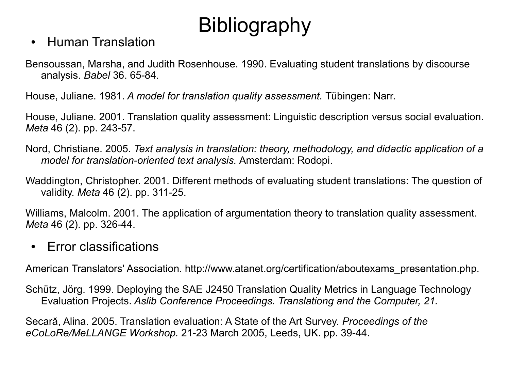#### • Human Translation

Bensoussan, Marsha, and Judith Rosenhouse. 1990. Evaluating student translations by discourse analysis. *Babel* 36. 65-84.

House, Juliane. 1981. *A model for translation quality assessment.* Tubingen: Narr.

House, Juliane. 2001. Translation quality assessment: Linguistic description versus social evaluation. *Meta* 46 (2). pp. 243-57.

- Nord, Christiane. 2005. *Text analysis in translation: theory, methodology, and didactic application of a model for translation-oriented text analysis.* Amsterdam: Rodopi.
- Waddington, Christopher. 2001. Different methods of evaluating student translations: The question of validity. *Meta* 46 (2). pp. 311-25.

Williams, Malcolm. 2001. The application of argumentation theory to translation quality assessment. *Meta* 46 (2). pp. 326-44.

• Error classifications

American Translators' Association. http://www.atanet.org/certification/aboutexams\_presentation.php.

Schütz, Jörg. 1999. Deploying the SAE J2450 Translation Quality Metrics in Language Technology Evaluation Projects. *Aslib Conference Proceedings. Translationg and the Computer, 21.* 

Secară, Alina. 2005. Translation evaluation: A State of the Art Survey. *Proceedings of the eCoLoRe/MeLLANGE Workshop.* 21-23 March 2005, Leeds, UK. pp. 39-44.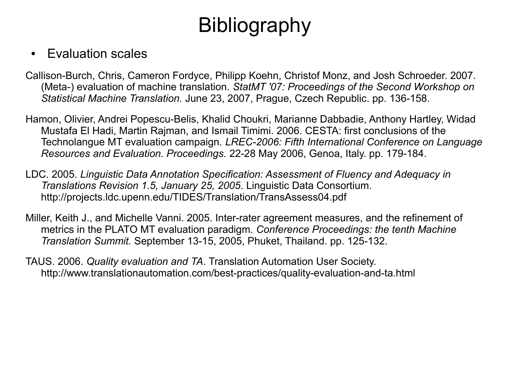#### • **Evaluation scales**

- Callison-Burch, Chris, Cameron Fordyce, Philipp Koehn, Christof Monz, and Josh Schroeder. 2007. (Meta-) evaluation of machine translation. *StatMT '07: Proceedings of the Second Workshop on Statistical Machine Translation.* June 23, 2007, Prague, Czech Republic. pp. 136-158.
- Hamon, Olivier, Andrei Popescu-Belis, Khalid Choukri, Marianne Dabbadie, Anthony Hartley, Widad Mustafa El Hadi, Martin Rajman, and Ismail Timimi. 2006. CESTA: first conclusions of the Technolangue MT evaluation campaign. *LREC-2006: Fifth International Conference on Language Resources and Evaluation. Proceedings.* 22-28 May 2006, Genoa, Italy. pp. 179-184.
- LDC. 2005. *Linguistic Data Annotation Specification: Assessment of Fluency and Adequacy in Translations Revision 1.5, January 25, 2005*. Linguistic Data Consortium. http://projects.ldc.upenn.edu/TIDES/Translation/TransAssess04.pdf
- Miller, Keith J., and Michelle Vanni. 2005. Inter-rater agreement measures, and the refinement of metrics in the PLATO MT evaluation paradigm. *Conference Proceedings: the tenth Machine Translation Summit.* September 13-15, 2005, Phuket, Thailand. pp. 125-132.
- TAUS. 2006. *Quality evaluation and TA*. Translation Automation User Society. http://www.translationautomation.com/best-practices/quality-evaluation-and-ta.html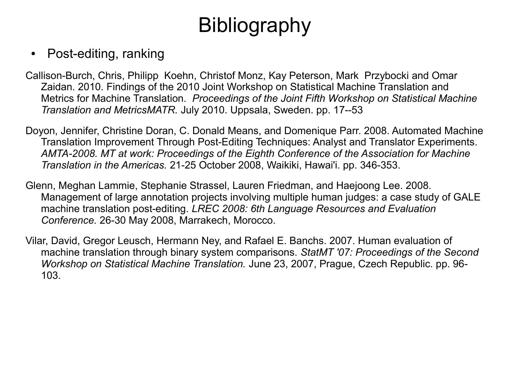#### • Post-editing, ranking

- Callison-Burch, Chris, Philipp Koehn, Christof Monz, Kay Peterson, Mark Przybocki and Omar Zaidan. 2010. Findings of the 2010 Joint Workshop on Statistical Machine Translation and Metrics for Machine Translation. *Proceedings of the Joint Fifth Workshop on Statistical Machine Translation and MetricsMATR.* July 2010. Uppsala, Sweden. pp. 17--53
- Doyon, Jennifer, Christine Doran, C. Donald Means, and Domenique Parr. 2008. Automated Machine Translation Improvement Through Post-Editing Techniques: Analyst and Translator Experiments. *AMTA-2008. MT at work: Proceedings of the Eighth Conference of the Association for Machine Translation in the Americas.* 21-25 October 2008, Waikiki, Hawai'i. pp. 346-353.
- Glenn, Meghan Lammie, Stephanie Strassel, Lauren Friedman, and Haejoong Lee. 2008. Management of large annotation projects involving multiple human judges: a case study of GALE machine translation post-editing. *LREC 2008: 6th Language Resources and Evaluation Conference.* 26-30 May 2008, Marrakech, Morocco.
- Vilar, David, Gregor Leusch, Hermann Ney, and Rafael E. Banchs. 2007. Human evaluation of machine translation through binary system comparisons. *StatMT '07: Proceedings of the Second Workshop on Statistical Machine Translation.* June 23, 2007, Prague, Czech Republic. pp. 96- 103.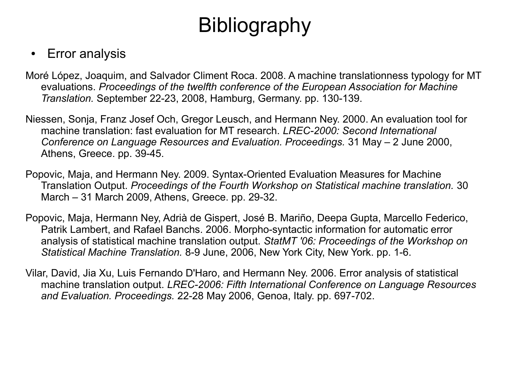#### • Error analysis

- Moré López, Joaquim, and Salvador Climent Roca. 2008. A machine translationness typology for MT evaluations. *Proceedings of the twelfth conference of the European Association for Machine Translation.* September 22-23, 2008, Hamburg, Germany. pp. 130-139.
- Niessen, Sonja, Franz Josef Och, Gregor Leusch, and Hermann Ney. 2000. An evaluation tool for machine translation: fast evaluation for MT research. *LREC-2000: Second International Conference on Language Resources and Evaluation. Proceedings.* 31 May – 2 June 2000, Athens, Greece. pp. 39-45.
- Popovic, Maja, and Hermann Ney. 2009. Syntax-Oriented Evaluation Measures for Machine Translation Output. *Proceedings of the Fourth Workshop on Statistical machine translation.* 30 March – 31 March 2009, Athens, Greece. pp. 29-32.
- Popovic, Maja, Hermann Ney, Adrià de Gispert, José B. Mariño, Deepa Gupta, Marcello Federico, Patrik Lambert, and Rafael Banchs. 2006. Morpho-syntactic information for automatic error analysis of statistical machine translation output. *StatMT '06: Proceedings of the Workshop on Statistical Machine Translation.* 8-9 June, 2006, New York City, New York. pp. 1-6.
- Vilar, David, Jia Xu, Luis Fernando D'Haro, and Hermann Ney. 2006. Error analysis of statistical machine translation output. *LREC-2006: Fifth International Conference on Language Resources and Evaluation. Proceedings.* 22-28 May 2006, Genoa, Italy. pp. 697-702.